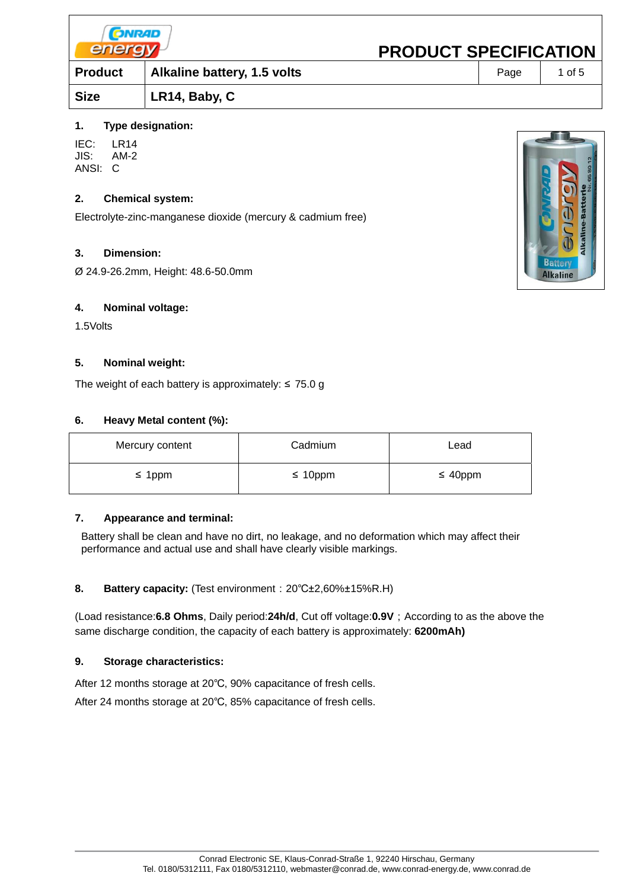| <b>CONRAD</b><br>energy |                             | <b>PRODUCT SPECIFICATION</b> |      |        |
|-------------------------|-----------------------------|------------------------------|------|--------|
| <b>Product</b>          | Alkaline battery, 1.5 volts |                              | Page | 1 of 5 |
| <b>Size</b>             | LR14, Baby, C               |                              |      |        |
|                         |                             |                              |      |        |

## **1. Type designation:**

IEC: LR14 JIS: AM-2 ANSI: C

## **2. Chemical system:**

Electrolyte-zinc-manganese dioxide (mercury & cadmium free)

## **3. Dimension:**

Ø 24.9-26.2mm, Height: 48.6-50.0mm

#### **4. Nominal voltage:**

1.5Volts

## **5. Nominal weight:**

The weight of each battery is approximately:  $\leq$  75.0 g

## **6. Heavy Metal content (%):**

| Mercury content | Cadmium       | Lead          |
|-----------------|---------------|---------------|
| $\leq$ 1ppm     | $\leq 10$ ppm | $\leq 40$ ppm |

#### **7. Appearance and terminal:**

Battery shall be clean and have no dirt, no leakage, and no deformation which may affect their performance and actual use and shall have clearly visible markings.

#### **8. Battery capacity:** (Test environment:20℃±2,60%±15%R.H)

(Load resistance:**6.8 Ohms**, Daily period:**24h/d**, Cut off voltage:**0.9V**;According to as the above the same discharge condition, the capacity of each battery is approximately: **6200mAh)**

#### **9. Storage characteristics:**

After 12 months storage at 20℃, 90% capacitance of fresh cells.

After 24 months storage at 20℃, 85% capacitance of fresh cells.

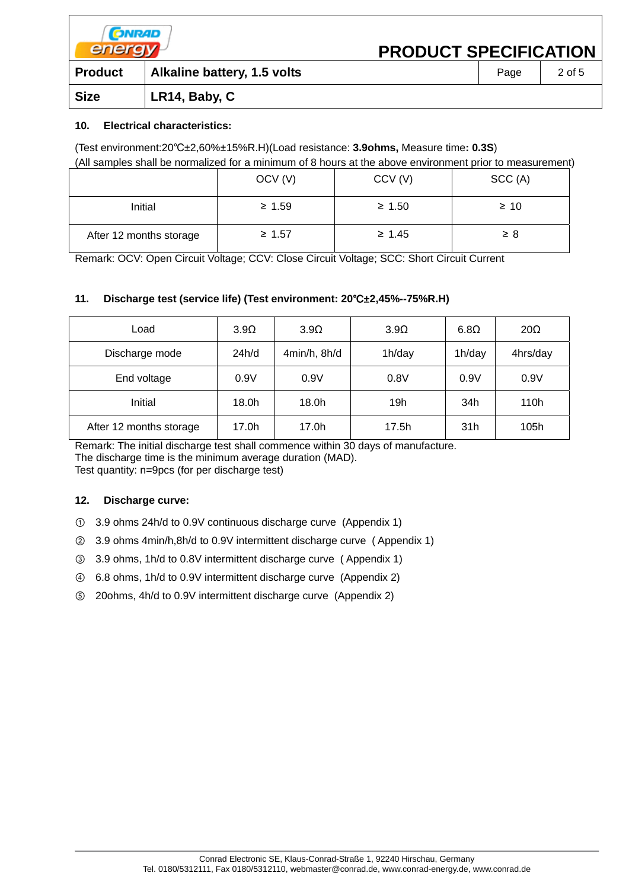| <b>CONRAD</b><br>energy |                             | <b>PRODUCT SPECIFICATION</b> |      |        |
|-------------------------|-----------------------------|------------------------------|------|--------|
| <b>Product</b>          | Alkaline battery, 1.5 volts |                              | Page | 2 of 5 |
| <b>Size</b>             | LR14, Baby, C               |                              |      |        |

## **10. Electrical characteristics:**

(Test environment:20℃±2,60%±15%R.H)(Load resistance: **3.9ohms,** Measure time**: 0.3S**)

(All samples shall be normalized for a minimum of 8 hours at the above environment prior to measurement)

|                         | OCV <sub>(V)</sub> | CCV(V)      | SCC (A)   |
|-------------------------|--------------------|-------------|-----------|
| Initial                 | $\geq 1.59$        | $\geq 1.50$ | $\geq 10$ |
| After 12 months storage | $\geq 1.57$        | $\geq 1.45$ | $\geq 8$  |

Remark: OCV: Open Circuit Voltage; CCV: Close Circuit Voltage; SCC: Short Circuit Current

# **11. Discharge test (service life) (Test environment: 20**℃±**2,45%--75%R.H)**

| Load                    | 3.9 <omega< th=""><th>3.9<omega< th=""><th>3.9<omega< th=""><th><math>6.8\Omega</math></th><th><math>20\Omega</math></th></omega<></th></omega<></th></omega<> | 3.9 <omega< th=""><th>3.9<omega< th=""><th><math>6.8\Omega</math></th><th><math>20\Omega</math></th></omega<></th></omega<> | 3.9 <omega< th=""><th><math>6.8\Omega</math></th><th><math>20\Omega</math></th></omega<> | $6.8\Omega$ | $20\Omega$ |
|-------------------------|----------------------------------------------------------------------------------------------------------------------------------------------------------------|-----------------------------------------------------------------------------------------------------------------------------|------------------------------------------------------------------------------------------|-------------|------------|
| Discharge mode          | 24h/d                                                                                                                                                          | 4min/h, 8h/d                                                                                                                | 1h/day                                                                                   | 1h/day      | 4hrs/day   |
| End voltage             | 0.9V                                                                                                                                                           | 0.9V                                                                                                                        | 0.8V                                                                                     | 0.9V        | 0.9V       |
| Initial                 | 18.0h                                                                                                                                                          | 18.0h                                                                                                                       | 19h                                                                                      | 34h         | 110h       |
| After 12 months storage | 17.0h                                                                                                                                                          | 17.0h                                                                                                                       | 17.5h                                                                                    | 31h         | 105h       |

Remark: The initial discharge test shall commence within 30 days of manufacture. The discharge time is the minimum average duration (MAD).

Test quantity: n=9pcs (for per discharge test)

#### **12. Discharge curve:**

- ① 3.9 ohms 24h/d to 0.9V continuous discharge curve (Appendix 1)
- ② 3.9 ohms 4min/h,8h/d to 0.9V intermittent discharge curve ( Appendix 1)
- ③ 3.9 ohms, 1h/d to 0.8V intermittent discharge curve ( Appendix 1)
- ④ 6.8 ohms, 1h/d to 0.9V intermittent discharge curve (Appendix 2)
- ⑤ 20ohms, 4h/d to 0.9V intermittent discharge curve (Appendix 2)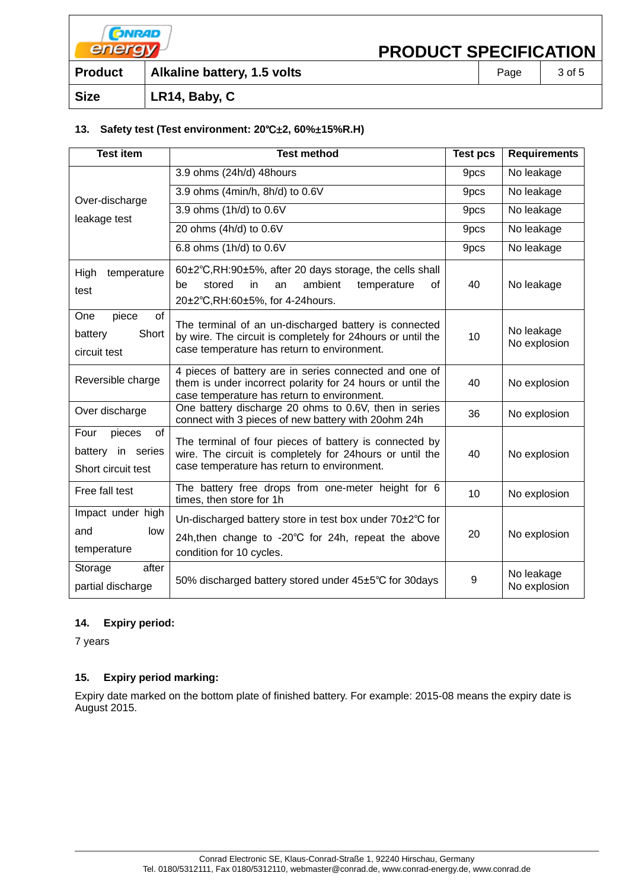| <b>CONRAD</b><br>energy |                             | <b>PRODUCT SPECIFICATION</b> |      |        |
|-------------------------|-----------------------------|------------------------------|------|--------|
| <b>Product</b>          | Alkaline battery, 1.5 volts |                              | Page | 3 of 5 |
| <b>Size</b>             | LR14, Baby, C               |                              |      |        |

## **13. Safety test (Test environment: 20**℃±**2, 60%**±**15%R.H)**

| <b>Test item</b>                                                | <b>Test method</b>                                                                                                                                                  | <b>Test pcs</b> | <b>Requirements</b>        |
|-----------------------------------------------------------------|---------------------------------------------------------------------------------------------------------------------------------------------------------------------|-----------------|----------------------------|
|                                                                 | 3.9 ohms (24h/d) 48hours                                                                                                                                            | 9pcs            | No leakage                 |
| Over-discharge                                                  | 3.9 ohms (4min/h, 8h/d) to 0.6V                                                                                                                                     | 9pcs            | No leakage                 |
| leakage test                                                    | 3.9 ohms (1h/d) to 0.6V                                                                                                                                             | 9pcs            | No leakage                 |
|                                                                 | 20 ohms (4h/d) to 0.6V                                                                                                                                              | 9pcs            | No leakage                 |
|                                                                 | 6.8 ohms (1h/d) to 0.6V                                                                                                                                             | 9pcs            | No leakage                 |
| High<br>temperature<br>test                                     | 60±2°C,RH:90±5%, after 20 days storage, the cells shall<br>ambient<br>stored<br>in.<br>temperature<br>οf<br>be<br>an<br>20±2°C, RH: 60±5%, for 4-24 hours.          | 40              | No leakage                 |
| piece<br>of<br>One<br>Short<br>battery<br>circuit test          | The terminal of an un-discharged battery is connected<br>by wire. The circuit is completely for 24hours or until the<br>case temperature has return to environment. | 10              | No leakage<br>No explosion |
| Reversible charge                                               | 4 pieces of battery are in series connected and one of<br>them is under incorrect polarity for 24 hours or until the<br>case temperature has return to environment. | 40              | No explosion               |
| Over discharge                                                  | One battery discharge 20 ohms to 0.6V, then in series<br>connect with 3 pieces of new battery with 20ohm 24h                                                        | 36              | No explosion               |
| pieces<br>of<br>Four<br>battery in series<br>Short circuit test | The terminal of four pieces of battery is connected by<br>wire. The circuit is completely for 24hours or until the<br>case temperature has return to environment.   | 40              | No explosion               |
| Free fall test                                                  | The battery free drops from one-meter height for 6<br>times, then store for 1h                                                                                      | 10              | No explosion               |
| Impact under high<br>and<br>low<br>temperature                  | Un-discharged battery store in test box under 70±2°C for<br>24h, then change to -20°C for 24h, repeat the above<br>condition for 10 cycles.                         | 20              | No explosion               |
| after<br>Storage<br>partial discharge                           | 50% discharged battery stored under 45±5°C for 30days                                                                                                               | 9               | No leakage<br>No explosion |

# **14. Expiry period:**

7 years

# **15. Expiry period marking:**

Expiry date marked on the bottom plate of finished battery. For example: 2015-08 means the expiry date is August 2015.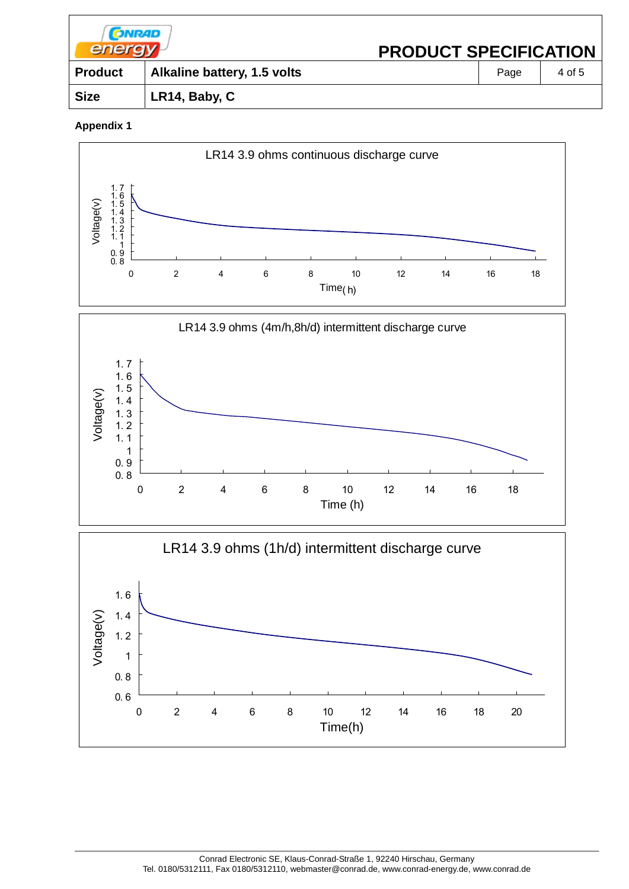| <b>CONRAD</b><br>energy <sup>}</sup> |                             | <b>PRODUCT SPECIFICATION</b> |      |        |
|--------------------------------------|-----------------------------|------------------------------|------|--------|
| <b>Product</b>                       | Alkaline battery, 1.5 volts |                              | Page | 4 of 5 |
| <b>Size</b>                          | LR14, Baby, C               |                              |      |        |
|                                      |                             |                              |      |        |

# **Appendix 1**